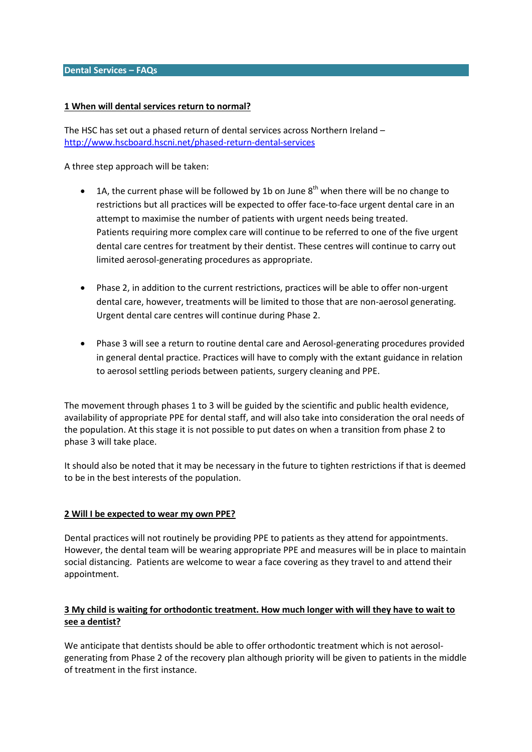#### **Dental Services – FAQs**

#### **1 When will dental services return to normal?**

The HSC has set out a phased return of dental services across Northern Ireland – <http://www.hscboard.hscni.net/phased-return-dental-services>

A three step approach will be taken:

- $\bullet$  1A, the current phase will be followed by 1b on June  $8<sup>th</sup>$  when there will be no change to restrictions but all practices will be expected to offer face-to-face urgent dental care in an attempt to maximise the number of patients with urgent needs being treated. Patients requiring more complex care will continue to be referred to one of the five urgent dental care centres for treatment by their dentist. These centres will continue to carry out limited aerosol-generating procedures as appropriate.
- Phase 2, in addition to the current restrictions, practices will be able to offer non-urgent dental care, however, treatments will be limited to those that are non-aerosol generating. Urgent dental care centres will continue during Phase 2.
- Phase 3 will see a return to routine dental care and Aerosol-generating procedures provided in general dental practice. Practices will have to comply with the extant guidance in relation to aerosol settling periods between patients, surgery cleaning and PPE.

The movement through phases 1 to 3 will be guided by the scientific and public health evidence, availability of appropriate PPE for dental staff, and will also take into consideration the oral needs of the population. At this stage it is not possible to put dates on when a transition from phase 2 to phase 3 will take place.

It should also be noted that it may be necessary in the future to tighten restrictions if that is deemed to be in the best interests of the population.

### **2 Will I be expected to wear my own PPE?**

Dental practices will not routinely be providing PPE to patients as they attend for appointments. However, the dental team will be wearing appropriate PPE and measures will be in place to maintain social distancing. Patients are welcome to wear a face covering as they travel to and attend their appointment.

## **3 My child is waiting for orthodontic treatment. How much longer with will they have to wait to see a dentist?**

We anticipate that dentists should be able to offer orthodontic treatment which is not aerosolgenerating from Phase 2 of the recovery plan although priority will be given to patients in the middle of treatment in the first instance.